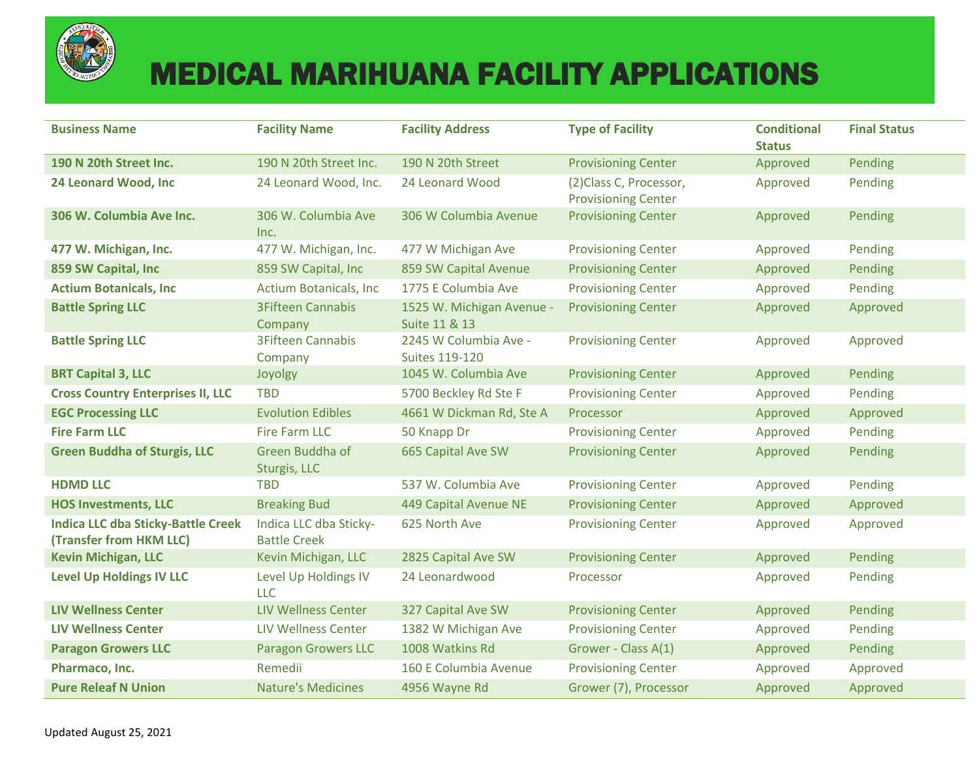

## MEDICAL MARIHUANA FACILITY APPLICATIONS

| <b>Business Name</b>                                                 | <b>Facility Name</b>                          | <b>Facility Address</b>                        | <b>Type of Facility</b>                               | <b>Conditional</b><br><b>Status</b> | <b>Final Status</b> |
|----------------------------------------------------------------------|-----------------------------------------------|------------------------------------------------|-------------------------------------------------------|-------------------------------------|---------------------|
| 190 N 20th Street Inc.                                               | 190 N 20th Street Inc.                        | 190 N 20th Street                              | <b>Provisioning Center</b>                            | Approved                            | Pending             |
| 24 Leonard Wood, Inc                                                 | 24 Leonard Wood, Inc.                         | 24 Leonard Wood                                | (2) Class C, Processor,<br><b>Provisioning Center</b> | Approved                            | Pending             |
| 306 W. Columbia Ave Inc.                                             | 306 W. Columbia Ave<br>Inc.                   | 306 W Columbia Avenue                          | <b>Provisioning Center</b>                            | Approved                            | Pending             |
| 477 W. Michigan, Inc.                                                | 477 W. Michigan, Inc.                         | 477 W Michigan Ave                             | <b>Provisioning Center</b>                            | Approved                            | Pending             |
| 859 SW Capital, Inc                                                  | 859 SW Capital, Inc                           | 859 SW Capital Avenue                          | <b>Provisioning Center</b>                            | Approved                            | Pending             |
| <b>Actium Botanicals, Inc.</b>                                       | <b>Actium Botanicals, Inc</b>                 | 1775 E Columbia Ave                            | <b>Provisioning Center</b>                            | Approved                            | Pending             |
| <b>Battle Spring LLC</b>                                             | <b>3Fifteen Cannabis</b><br>Company           | 1525 W. Michigan Avenue -<br>Suite 11 & 13     | <b>Provisioning Center</b>                            | Approved                            | Approved            |
| <b>Battle Spring LLC</b>                                             | <b>3Fifteen Cannabis</b><br>Company           | 2245 W Columbia Ave -<br><b>Suites 119-120</b> | <b>Provisioning Center</b>                            | Approved                            | Approved            |
| <b>BRT Capital 3, LLC</b>                                            | Joyolgy                                       | 1045 W. Columbia Ave                           | <b>Provisioning Center</b>                            | Approved                            | Pending             |
| <b>Cross Country Enterprises II, LLC</b>                             | <b>TBD</b>                                    | 5700 Beckley Rd Ste F                          | <b>Provisioning Center</b>                            | Approved                            | Pending             |
| <b>EGC Processing LLC</b>                                            | <b>Evolution Edibles</b>                      | 4661 W Dickman Rd, Ste A                       | Processor                                             | Approved                            | Approved            |
| <b>Fire Farm LLC</b>                                                 | <b>Fire Farm LLC</b>                          | 50 Knapp Dr                                    | <b>Provisioning Center</b>                            | Approved                            | Pending             |
| <b>Green Buddha of Sturgis, LLC</b>                                  | Green Buddha of<br>Sturgis, LLC               | 665 Capital Ave SW                             | <b>Provisioning Center</b>                            | Approved                            | Pending             |
| <b>HDMD LLC</b>                                                      | <b>TBD</b>                                    | 537 W. Columbia Ave                            | <b>Provisioning Center</b>                            | Approved                            | Pending             |
| <b>HOS Investments, LLC</b>                                          | <b>Breaking Bud</b>                           | 449 Capital Avenue NE                          | <b>Provisioning Center</b>                            | Approved                            | Approved            |
| <b>Indica LLC dba Sticky-Battle Creek</b><br>(Transfer from HKM LLC) | Indica LLC dba Sticky-<br><b>Battle Creek</b> | 625 North Ave                                  | <b>Provisioning Center</b>                            | Approved                            | Approved            |
| <b>Kevin Michigan, LLC</b>                                           | Kevin Michigan, LLC                           | 2825 Capital Ave SW                            | <b>Provisioning Center</b>                            | Approved                            | Pending             |
| <b>Level Up Holdings IV LLC</b>                                      | Level Up Holdings IV<br><b>LLC</b>            | 24 Leonardwood                                 | Processor                                             | Approved                            | Pending             |
| <b>LIV Wellness Center</b>                                           | <b>LIV Wellness Center</b>                    | 327 Capital Ave SW                             | <b>Provisioning Center</b>                            | Approved                            | Pending             |
| <b>LIV Wellness Center</b>                                           | <b>LIV Wellness Center</b>                    | 1382 W Michigan Ave                            | <b>Provisioning Center</b>                            | Approved                            | Pending             |
| <b>Paragon Growers LLC</b>                                           | <b>Paragon Growers LLC</b>                    | 1008 Watkins Rd                                | Grower - Class A(1)                                   | Approved                            | Pending             |
| Pharmaco, Inc.                                                       | Remedii                                       | 160 E Columbia Avenue                          | <b>Provisioning Center</b>                            | Approved                            | Approved            |
| <b>Pure Releaf N Union</b>                                           | <b>Nature's Medicines</b>                     | 4956 Wayne Rd                                  | Grower (7), Processor                                 | Approved                            | Approved            |